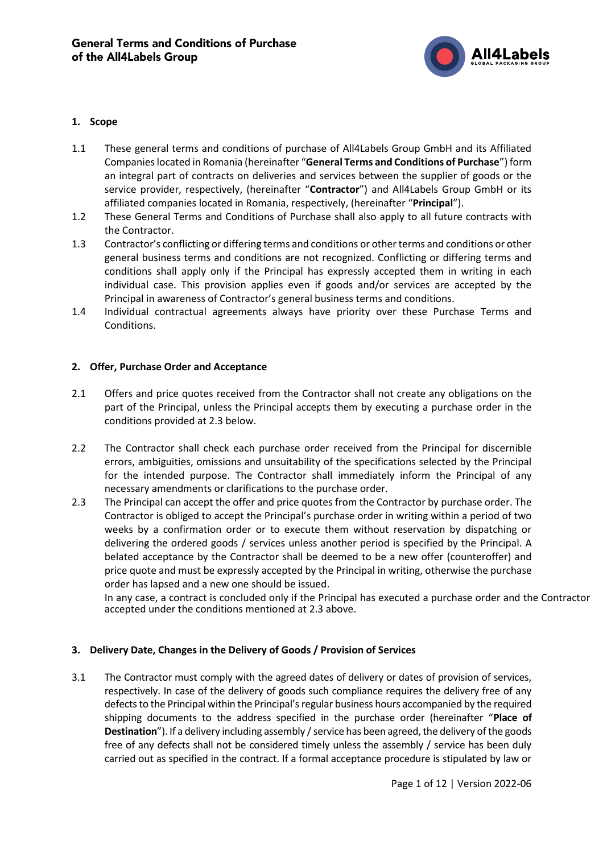

### **1. Scope**

- 1.1 These general terms and conditions of purchase of All4Labels Group GmbH and its Affiliated Companies located in Romania (hereinafter "**General Terms and Conditions of Purchase**") form an integral part of contracts on deliveries and services between the supplier of goods or the service provider, respectively, (hereinafter "**Contractor**") and All4Labels Group GmbH or its affiliated companies located in Romania, respectively, (hereinafter "**Principal**").
- 1.2 These General Terms and Conditions of Purchase shall also apply to all future contracts with the Contractor.
- 1.3 Contractor's conflicting or differing terms and conditions or other terms and conditions or other general business terms and conditions are not recognized. Conflicting or differing terms and conditions shall apply only if the Principal has expressly accepted them in writing in each individual case. This provision applies even if goods and/or services are accepted by the Principal in awareness of Contractor's general business terms and conditions.
- 1.4 Individual contractual agreements always have priority over these Purchase Terms and Conditions.

### **2. Offer, Purchase Order and Acceptance**

- 2.1 Offers and price quotes received from the Contractor shall not create any obligations on the part of the Principal, unless the Principal accepts them by executing a purchase order in the conditions provided at 2.3 below.
- 2.2 The Contractor shall check each purchase order received from the Principal for discernible errors, ambiguities, omissions and unsuitability of the specifications selected by the Principal for the intended purpose. The Contractor shall immediately inform the Principal of any necessary amendments or clarifications to the purchase order.
- 2.3 The Principal can accept the offer and price quotes from the Contractor by purchase order. The Contractor is obliged to accept the Principal's purchase order in writing within a period of two weeks by a confirmation order or to execute them without reservation by dispatching or delivering the ordered goods / services unless another period is specified by the Principal. A belated acceptance by the Contractor shall be deemed to be a new offer (counteroffer) and price quote and must be expressly accepted by the Principal in writing, otherwise the purchase order has lapsed and a new one should be issued.

In any case, a contract is concluded only if the Principal has executed a purchase order and the Contractor accepted under the conditions mentioned at 2.3 above.

### **3. Delivery Date, Changes in the Delivery of Goods / Provision of Services**

3.1 The Contractor must comply with the agreed dates of delivery or dates of provision of services, respectively. In case of the delivery of goods such compliance requires the delivery free of any defects to the Principal within the Principal's regular business hours accompanied by the required shipping documents to the address specified in the purchase order (hereinafter "**Place of Destination**"). If a delivery including assembly / service has been agreed, the delivery of the goods free of any defects shall not be considered timely unless the assembly / service has been duly carried out as specified in the contract. If a formal acceptance procedure is stipulated by law or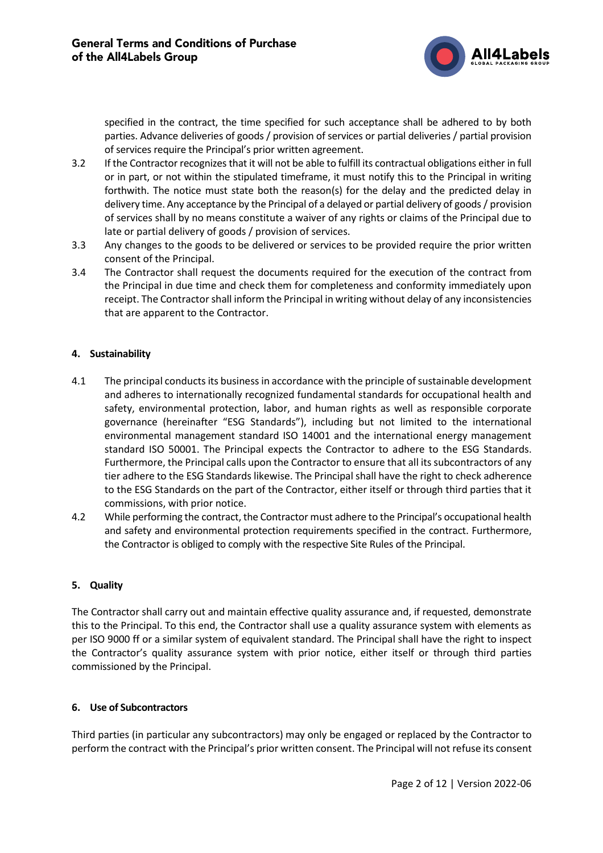

specified in the contract, the time specified for such acceptance shall be adhered to by both parties. Advance deliveries of goods / provision of services or partial deliveries / partial provision of services require the Principal's prior written agreement.

- 3.2 If the Contractor recognizes that it will not be able to fulfill its contractual obligations either in full or in part, or not within the stipulated timeframe, it must notify this to the Principal in writing forthwith. The notice must state both the reason(s) for the delay and the predicted delay in delivery time. Any acceptance by the Principal of a delayed or partial delivery of goods/ provision of services shall by no means constitute a waiver of any rights or claims of the Principal due to late or partial delivery of goods / provision of services.
- 3.3 Any changes to the goods to be delivered or services to be provided require the prior written consent of the Principal.
- 3.4 The Contractor shall request the documents required for the execution of the contract from the Principal in due time and check them for completeness and conformity immediately upon receipt. The Contractor shall inform the Principal in writing without delay of any inconsistencies that are apparent to the Contractor.

### **4. Sustainability**

- 4.1 The principal conducts its business in accordance with the principle of sustainable development and adheres to internationally recognized fundamental standards for occupational health and safety, environmental protection, labor, and human rights as well as responsible corporate governance (hereinafter "ESG Standards"), including but not limited to the international environmental management standard ISO 14001 and the international energy management standard ISO 50001. The Principal expects the Contractor to adhere to the ESG Standards. Furthermore, the Principal calls upon the Contractor to ensure that all its subcontractors of any tier adhere to the ESG Standards likewise. The Principal shall have the right to check adherence to the ESG Standards on the part of the Contractor, either itself or through third parties that it commissions, with prior notice.
- 4.2 While performing the contract, the Contractor must adhere to the Principal's occupational health and safety and environmental protection requirements specified in the contract. Furthermore, the Contractor is obliged to comply with the respective Site Rules of the Principal.

### **5. Quality**

The Contractor shall carry out and maintain effective quality assurance and, if requested, demonstrate this to the Principal. To this end, the Contractor shall use a quality assurance system with elements as per ISO 9000 ff or a similar system of equivalent standard. The Principal shall have the right to inspect the Contractor's quality assurance system with prior notice, either itself or through third parties commissioned by the Principal.

### **6. Use of Subcontractors**

Third parties (in particular any subcontractors) may only be engaged or replaced by the Contractor to perform the contract with the Principal's prior written consent. The Principal will not refuse its consent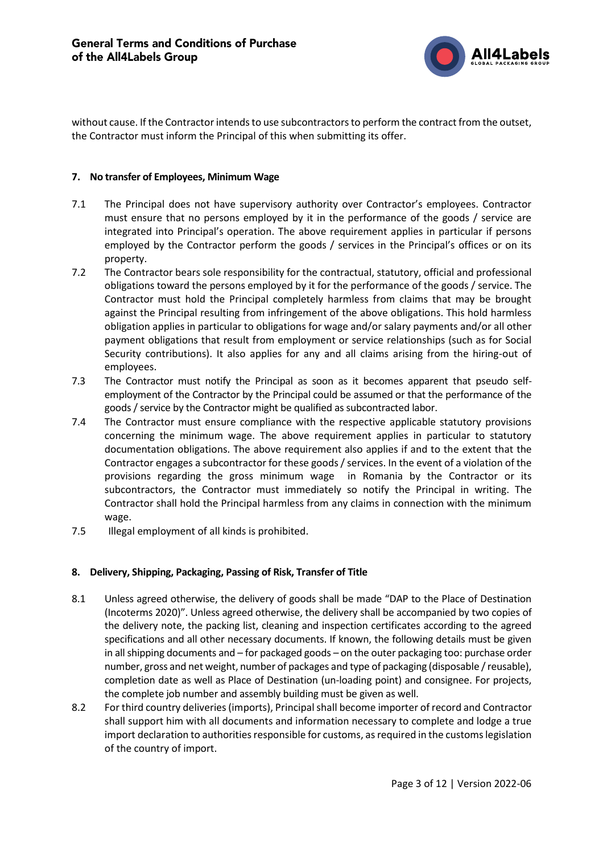

without cause. If the Contractor intends to use subcontractors to perform the contract from the outset, the Contractor must inform the Principal of this when submitting its offer.

### **7. No transfer of Employees, Minimum Wage**

- 7.1 The Principal does not have supervisory authority over Contractor's employees. Contractor must ensure that no persons employed by it in the performance of the goods / service are integrated into Principal's operation. The above requirement applies in particular if persons employed by the Contractor perform the goods / services in the Principal's offices or on its property.
- 7.2 The Contractor bears sole responsibility for the contractual, statutory, official and professional obligations toward the persons employed by it for the performance of the goods / service. The Contractor must hold the Principal completely harmless from claims that may be brought against the Principal resulting from infringement of the above obligations. This hold harmless obligation applies in particular to obligations for wage and/or salary payments and/or all other payment obligations that result from employment or service relationships (such as for Social Security contributions). It also applies for any and all claims arising from the hiring-out of employees.
- 7.3 The Contractor must notify the Principal as soon as it becomes apparent that pseudo selfemployment of the Contractor by the Principal could be assumed or that the performance of the goods / service by the Contractor might be qualified as subcontracted labor.
- 7.4 The Contractor must ensure compliance with the respective applicable statutory provisions concerning the minimum wage. The above requirement applies in particular to statutory documentation obligations. The above requirement also applies if and to the extent that the Contractor engages a subcontractor for these goods / services. In the event of a violation of the provisions regarding the gross minimum wage in Romania by the Contractor or its subcontractors, the Contractor must immediately so notify the Principal in writing. The Contractor shall hold the Principal harmless from any claims in connection with the minimum wage.
- 7.5 Illegal employment of all kinds is prohibited.

### **8. Delivery, Shipping, Packaging, Passing of Risk, Transfer of Title**

- 8.1 Unless agreed otherwise, the delivery of goods shall be made "DAP to the Place of Destination (Incoterms 2020)". Unless agreed otherwise, the delivery shall be accompanied by two copies of the delivery note, the packing list, cleaning and inspection certificates according to the agreed specifications and all other necessary documents. If known, the following details must be given in all shipping documents and – for packaged goods – on the outer packaging too: purchase order number, gross and net weight, number of packages and type of packaging (disposable / reusable), completion date as well as Place of Destination (un-loading point) and consignee. For projects, the complete job number and assembly building must be given as well.
- 8.2 For third country deliveries (imports), Principal shall become importer of record and Contractor shall support him with all documents and information necessary to complete and lodge a true import declaration to authorities responsible for customs, as required in the customs legislation of the country of import.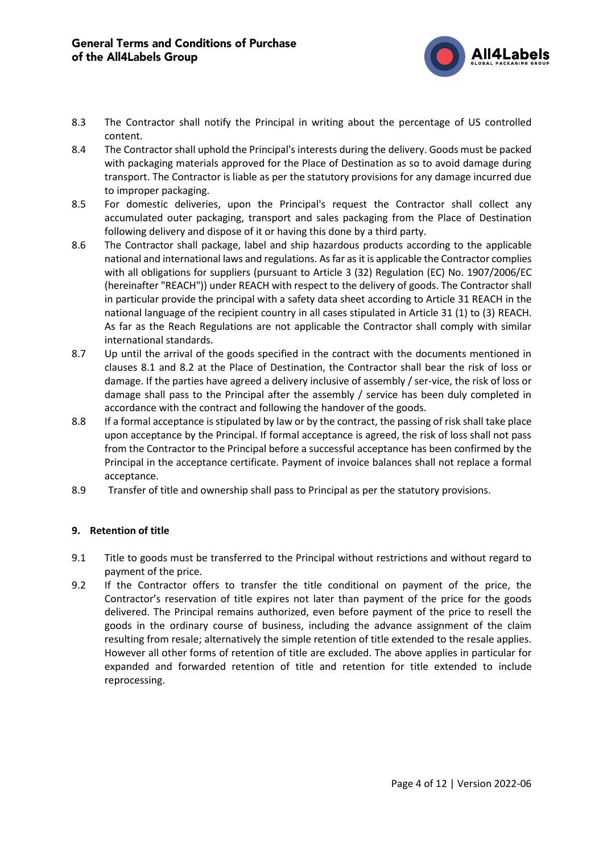

- 8.3 The Contractor shall notify the Principal in writing about the percentage of US controlled content.
- 8.4 The Contractor shall uphold the Principal's interests during the delivery. Goods must be packed with packaging materials approved for the Place of Destination as so to avoid damage during transport. The Contractor is liable as per the statutory provisions for any damage incurred due to improper packaging.
- 8.5 For domestic deliveries, upon the Principal's request the Contractor shall collect any accumulated outer packaging, transport and sales packaging from the Place of Destination following delivery and dispose of it or having this done by a third party.
- 8.6 The Contractor shall package, label and ship hazardous products according to the applicable national and international laws and regulations. As far as it is applicable the Contractor complies with all obligations for suppliers (pursuant to Article 3 (32) Regulation (EC) No. 1907/2006/EC (hereinafter "REACH")) under REACH with respect to the delivery of goods. The Contractor shall in particular provide the principal with a safety data sheet according to Article 31 REACH in the national language of the recipient country in all cases stipulated in Article 31 (1) to (3) REACH. As far as the Reach Regulations are not applicable the Contractor shall comply with similar international standards.
- 8.7 Up until the arrival of the goods specified in the contract with the documents mentioned in clauses 8.1 and 8.2 at the Place of Destination, the Contractor shall bear the risk of loss or damage. If the parties have agreed a delivery inclusive of assembly / ser-vice, the risk of loss or damage shall pass to the Principal after the assembly / service has been duly completed in accordance with the contract and following the handover of the goods.
- 8.8 If a formal acceptance is stipulated by law or by the contract, the passing of risk shall take place upon acceptance by the Principal. If formal acceptance is agreed, the risk of loss shall not pass from the Contractor to the Principal before a successful acceptance has been confirmed by the Principal in the acceptance certificate. Payment of invoice balances shall not replace a formal acceptance.
- 8.9 Transfer of title and ownership shall pass to Principal as per the statutory provisions.

# **9. Retention of title**

- 9.1 Title to goods must be transferred to the Principal without restrictions and without regard to payment of the price.
- 9.2 If the Contractor offers to transfer the title conditional on payment of the price, the Contractor's reservation of title expires not later than payment of the price for the goods delivered. The Principal remains authorized, even before payment of the price to resell the goods in the ordinary course of business, including the advance assignment of the claim resulting from resale; alternatively the simple retention of title extended to the resale applies. However all other forms of retention of title are excluded. The above applies in particular for expanded and forwarded retention of title and retention for title extended to include reprocessing.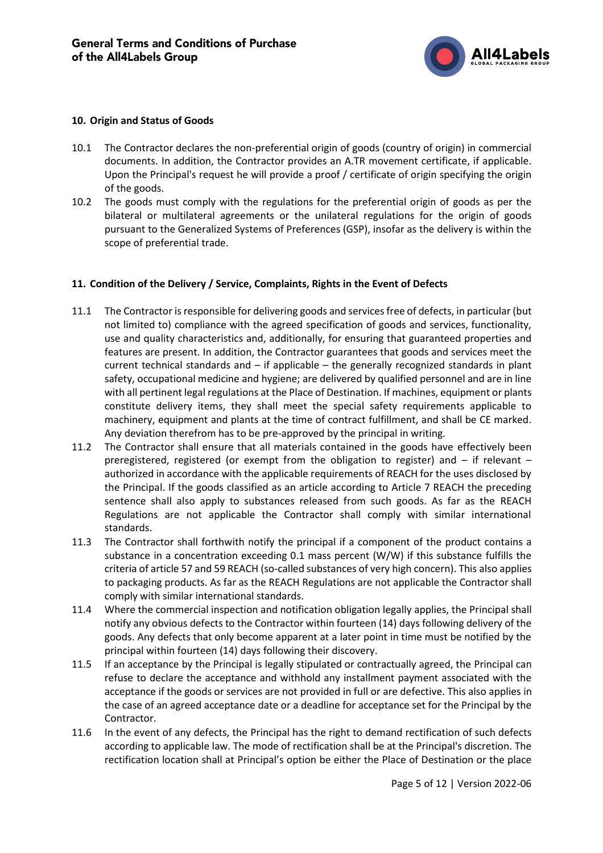

### **10. Origin and Status of Goods**

- 10.1 The Contractor declares the non-preferential origin of goods (country of origin) in commercial documents. In addition, the Contractor provides an A.TR movement certificate, if applicable. Upon the Principal's request he will provide a proof / certificate of origin specifying the origin of the goods.
- 10.2 The goods must comply with the regulations for the preferential origin of goods as per the bilateral or multilateral agreements or the unilateral regulations for the origin of goods pursuant to the Generalized Systems of Preferences (GSP), insofar as the delivery is within the scope of preferential trade.

### **11. Condition of the Delivery / Service, Complaints, Rights in the Event of Defects**

- 11.1 The Contractor is responsible for delivering goods and services free of defects, in particular (but not limited to) compliance with the agreed specification of goods and services, functionality, use and quality characteristics and, additionally, for ensuring that guaranteed properties and features are present. In addition, the Contractor guarantees that goods and services meet the current technical standards and  $-$  if applicable  $-$  the generally recognized standards in plant safety, occupational medicine and hygiene; are delivered by qualified personnel and are in line with all pertinent legal regulations at the Place of Destination. If machines, equipment or plants constitute delivery items, they shall meet the special safety requirements applicable to machinery, equipment and plants at the time of contract fulfillment, and shall be CE marked. Any deviation therefrom has to be pre-approved by the principal in writing.
- 11.2 The Contractor shall ensure that all materials contained in the goods have effectively been preregistered, registered (or exempt from the obligation to register) and  $-$  if relevant  $$ authorized in accordance with the applicable requirements of REACH for the uses disclosed by the Principal. If the goods classified as an article according to Article 7 REACH the preceding sentence shall also apply to substances released from such goods. As far as the REACH Regulations are not applicable the Contractor shall comply with similar international standards.
- 11.3 The Contractor shall forthwith notify the principal if a component of the product contains a substance in a concentration exceeding 0.1 mass percent (W/W) if this substance fulfills the criteria of article 57 and 59 REACH (so-called substances of very high concern). This also applies to packaging products. As far as the REACH Regulations are not applicable the Contractor shall comply with similar international standards.
- 11.4 Where the commercial inspection and notification obligation legally applies, the Principal shall notify any obvious defects to the Contractor within fourteen (14) days following delivery of the goods. Any defects that only become apparent at a later point in time must be notified by the principal within fourteen (14) days following their discovery.
- 11.5 If an acceptance by the Principal is legally stipulated or contractually agreed, the Principal can refuse to declare the acceptance and withhold any installment payment associated with the acceptance if the goods or services are not provided in full or are defective. This also applies in the case of an agreed acceptance date or a deadline for acceptance set for the Principal by the Contractor.
- 11.6 In the event of any defects, the Principal has the right to demand rectification of such defects according to applicable law. The mode of rectification shall be at the Principal's discretion. The rectification location shall at Principal's option be either the Place of Destination or the place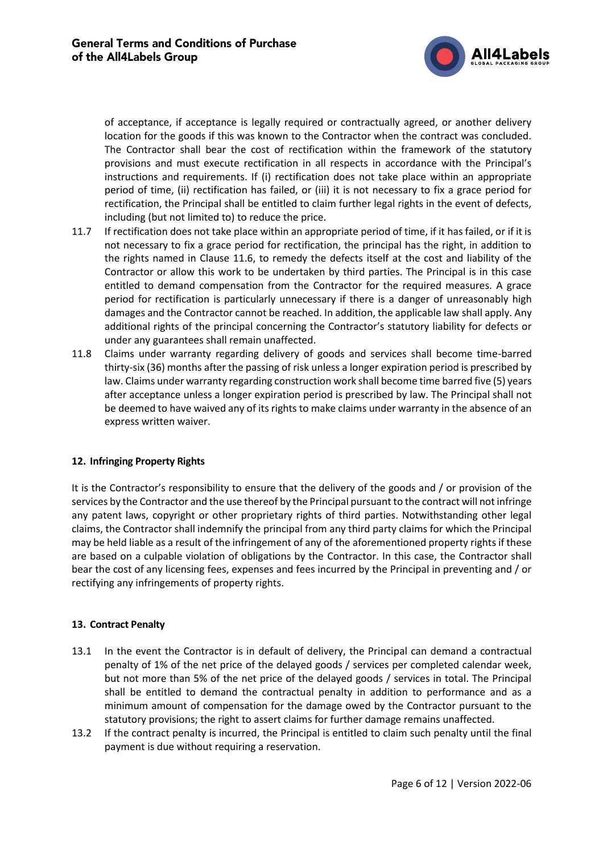

of acceptance, if acceptance is legally required or contractually agreed, or another delivery location for the goods if this was known to the Contractor when the contract was concluded. The Contractor shall bear the cost of rectification within the framework of the statutory provisions and must execute rectification in all respects in accordance with the Principal's instructions and requirements. If (i) rectification does not take place within an appropriate period of time, (ii) rectification has failed, or (iii) it is not necessary to fix a grace period for rectification, the Principal shall be entitled to claim further legal rights in the event of defects, including (but not limited to) to reduce the price.

- 11.7 If rectification does not take place within an appropriate period of time, if it has failed, or if it is not necessary to fix a grace period for rectification, the principal has the right, in addition to the rights named in Clause 11.6, to remedy the defects itself at the cost and liability of the Contractor or allow this work to be undertaken by third parties. The Principal is in this case entitled to demand compensation from the Contractor for the required measures. A grace period for rectification is particularly unnecessary if there is a danger of unreasonably high damages and the Contractor cannot be reached. In addition, the applicable law shall apply. Any additional rights of the principal concerning the Contractor's statutory liability for defects or under any guarantees shall remain unaffected.
- 11.8 Claims under warranty regarding delivery of goods and services shall become time-barred thirty-six (36) months after the passing of risk unless a longer expiration period is prescribed by law. Claims under warranty regarding construction work shall become time barred five (5) years after acceptance unless a longer expiration period is prescribed by law. The Principal shall not be deemed to have waived any of its rights to make claims under warranty in the absence of an express written waiver.

### **12. Infringing Property Rights**

It is the Contractor's responsibility to ensure that the delivery of the goods and / or provision of the services by the Contractor and the use thereof by the Principal pursuant to the contract will not infringe any patent laws, copyright or other proprietary rights of third parties. Notwithstanding other legal claims, the Contractor shall indemnify the principal from any third party claims for which the Principal may be held liable as a result of the infringement of any of the aforementioned property rights if these are based on a culpable violation of obligations by the Contractor. In this case, the Contractor shall bear the cost of any licensing fees, expenses and fees incurred by the Principal in preventing and / or rectifying any infringements of property rights.

# **13. Contract Penalty**

- 13.1 In the event the Contractor is in default of delivery, the Principal can demand a contractual penalty of 1% of the net price of the delayed goods / services per completed calendar week, but not more than 5% of the net price of the delayed goods / services in total. The Principal shall be entitled to demand the contractual penalty in addition to performance and as a minimum amount of compensation for the damage owed by the Contractor pursuant to the statutory provisions; the right to assert claims for further damage remains unaffected.
- 13.2 If the contract penalty is incurred, the Principal is entitled to claim such penalty until the final payment is due without requiring a reservation.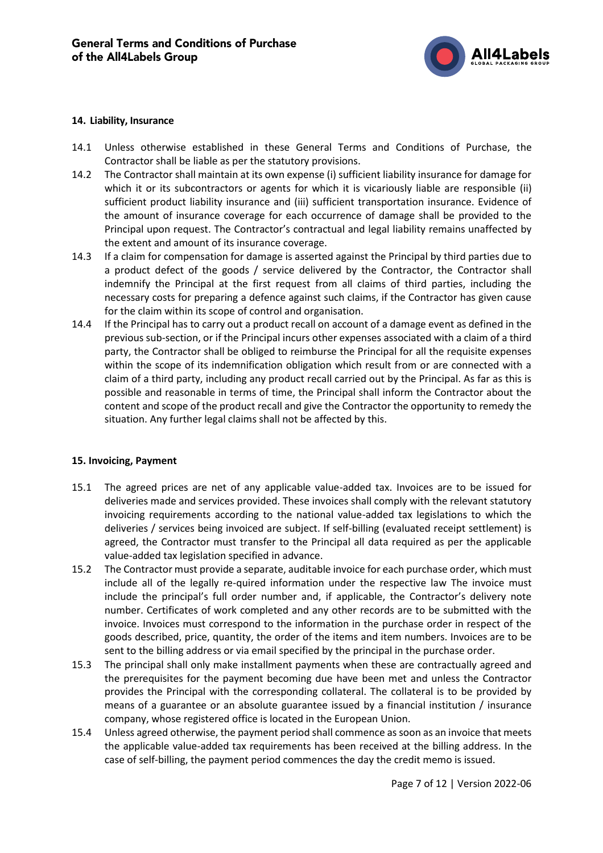

### **14. Liability, Insurance**

- 14.1 Unless otherwise established in these General Terms and Conditions of Purchase, the Contractor shall be liable as per the statutory provisions.
- 14.2 The Contractor shall maintain at its own expense (i) sufficient liability insurance for damage for which it or its subcontractors or agents for which it is vicariously liable are responsible (ii) sufficient product liability insurance and (iii) sufficient transportation insurance. Evidence of the amount of insurance coverage for each occurrence of damage shall be provided to the Principal upon request. The Contractor's contractual and legal liability remains unaffected by the extent and amount of its insurance coverage.
- 14.3 If a claim for compensation for damage is asserted against the Principal by third parties due to a product defect of the goods / service delivered by the Contractor, the Contractor shall indemnify the Principal at the first request from all claims of third parties, including the necessary costs for preparing a defence against such claims, if the Contractor has given cause for the claim within its scope of control and organisation.
- 14.4 If the Principal has to carry out a product recall on account of a damage event as defined in the previous sub-section, or if the Principal incurs other expenses associated with a claim of a third party, the Contractor shall be obliged to reimburse the Principal for all the requisite expenses within the scope of its indemnification obligation which result from or are connected with a claim of a third party, including any product recall carried out by the Principal. As far as this is possible and reasonable in terms of time, the Principal shall inform the Contractor about the content and scope of the product recall and give the Contractor the opportunity to remedy the situation. Any further legal claims shall not be affected by this.

### **15. Invoicing, Payment**

- 15.1 The agreed prices are net of any applicable value-added tax. Invoices are to be issued for deliveries made and services provided. These invoices shall comply with the relevant statutory invoicing requirements according to the national value-added tax legislations to which the deliveries / services being invoiced are subject. If self-billing (evaluated receipt settlement) is agreed, the Contractor must transfer to the Principal all data required as per the applicable value-added tax legislation specified in advance.
- 15.2 The Contractor must provide a separate, auditable invoice for each purchase order, which must include all of the legally re-quired information under the respective law The invoice must include the principal's full order number and, if applicable, the Contractor's delivery note number. Certificates of work completed and any other records are to be submitted with the invoice. Invoices must correspond to the information in the purchase order in respect of the goods described, price, quantity, the order of the items and item numbers. Invoices are to be sent to the billing address or via email specified by the principal in the purchase order.
- 15.3 The principal shall only make installment payments when these are contractually agreed and the prerequisites for the payment becoming due have been met and unless the Contractor provides the Principal with the corresponding collateral. The collateral is to be provided by means of a guarantee or an absolute guarantee issued by a financial institution / insurance company, whose registered office is located in the European Union.
- 15.4 Unless agreed otherwise, the payment period shall commence as soon as an invoice that meets the applicable value-added tax requirements has been received at the billing address. In the case of self-billing, the payment period commences the day the credit memo is issued.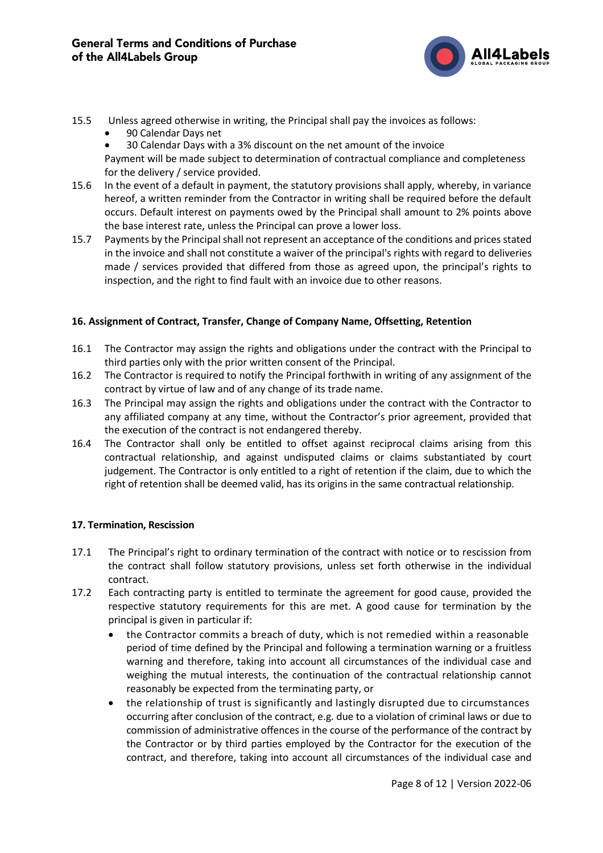

- 15.5 Unless agreed otherwise in writing, the Principal shall pay the invoices as follows:
	- 90 Calendar Days net
	- 30 Calendar Days with a 3% discount on the net amount of the invoice Payment will be made subject to determination of contractual compliance and completeness for the delivery / service provided.
- 15.6 In the event of a default in payment, the statutory provisions shall apply, whereby, in variance hereof, a written reminder from the Contractor in writing shall be required before the default occurs. Default interest on payments owed by the Principal shall amount to 2% points above the base interest rate, unless the Principal can prove a lower loss.
- 15.7 Payments by the Principal shall not represent an acceptance of the conditions and prices stated in the invoice and shall not constitute a waiver of the principal's rights with regard to deliveries made / services provided that differed from those as agreed upon, the principal's rights to inspection, and the right to find fault with an invoice due to other reasons.

# **16. Assignment of Contract, Transfer, Change of Company Name, Offsetting, Retention**

- 16.1 The Contractor may assign the rights and obligations under the contract with the Principal to third parties only with the prior written consent of the Principal.
- 16.2 The Contractor is required to notify the Principal forthwith in writing of any assignment of the contract by virtue of law and of any change of its trade name.
- 16.3 The Principal may assign the rights and obligations under the contract with the Contractor to any affiliated company at any time, without the Contractor's prior agreement, provided that the execution of the contract is not endangered thereby.
- 16.4 The Contractor shall only be entitled to offset against reciprocal claims arising from this contractual relationship, and against undisputed claims or claims substantiated by court judgement. The Contractor is only entitled to a right of retention if the claim, due to which the right of retention shall be deemed valid, has its origins in the same contractual relationship.

# **17. Termination, Rescission**

- 17.1 The Principal's right to ordinary termination of the contract with notice or to rescission from the contract shall follow statutory provisions, unless set forth otherwise in the individual contract.
- 17.2 Each contracting party is entitled to terminate the agreement for good cause, provided the respective statutory requirements for this are met. A good cause for termination by the principal is given in particular if:
	- the Contractor commits a breach of duty, which is not remedied within a reasonable period of time defined by the Principal and following a termination warning or a fruitless warning and therefore, taking into account all circumstances of the individual case and weighing the mutual interests, the continuation of the contractual relationship cannot reasonably be expected from the terminating party, or
	- the relationship of trust is significantly and lastingly disrupted due to circumstances occurring after conclusion of the contract, e.g. due to a violation of criminal laws or due to commission of administrative offences in the course of the performance of the contract by the Contractor or by third parties employed by the Contractor for the execution of the contract, and therefore, taking into account all circumstances of the individual case and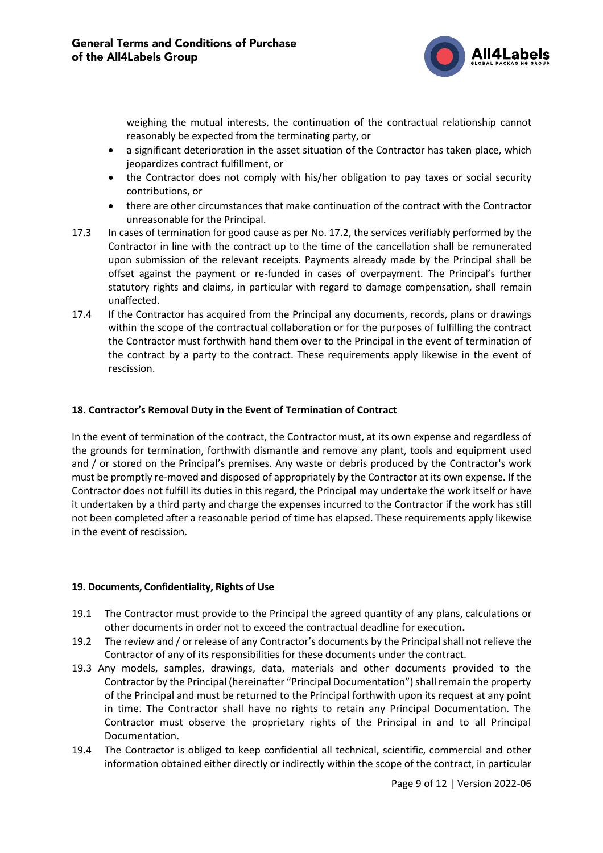

weighing the mutual interests, the continuation of the contractual relationship cannot reasonably be expected from the terminating party, or

- a significant deterioration in the asset situation of the Contractor has taken place, which jeopardizes contract fulfillment, or
- the Contractor does not comply with his/her obligation to pay taxes or social security contributions, or
- there are other circumstances that make continuation of the contract with the Contractor unreasonable for the Principal.
- 17.3 In cases of termination for good cause as per No. 17.2, the services verifiably performed by the Contractor in line with the contract up to the time of the cancellation shall be remunerated upon submission of the relevant receipts. Payments already made by the Principal shall be offset against the payment or re-funded in cases of overpayment. The Principal's further statutory rights and claims, in particular with regard to damage compensation, shall remain unaffected.
- 17.4 If the Contractor has acquired from the Principal any documents, records, plans or drawings within the scope of the contractual collaboration or for the purposes of fulfilling the contract the Contractor must forthwith hand them over to the Principal in the event of termination of the contract by a party to the contract. These requirements apply likewise in the event of rescission.

### **18. Contractor's Removal Duty in the Event of Termination of Contract**

In the event of termination of the contract, the Contractor must, at its own expense and regardless of the grounds for termination, forthwith dismantle and remove any plant, tools and equipment used and / or stored on the Principal's premises. Any waste or debris produced by the Contractor's work must be promptly re-moved and disposed of appropriately by the Contractor at its own expense. If the Contractor does not fulfill its duties in this regard, the Principal may undertake the work itself or have it undertaken by a third party and charge the expenses incurred to the Contractor if the work has still not been completed after a reasonable period of time has elapsed. These requirements apply likewise in the event of rescission.

### **19. Documents, Confidentiality, Rights of Use**

- 19.1 The Contractor must provide to the Principal the agreed quantity of any plans, calculations or other documents in order not to exceed the contractual deadline for execution**.**
- 19.2 The review and / or release of any Contractor's documents by the Principal shall not relieve the Contractor of any of its responsibilities for these documents under the contract.
- 19.3 Any models, samples, drawings, data, materials and other documents provided to the Contractor by the Principal (hereinafter "Principal Documentation") shall remain the property of the Principal and must be returned to the Principal forthwith upon its request at any point in time. The Contractor shall have no rights to retain any Principal Documentation. The Contractor must observe the proprietary rights of the Principal in and to all Principal Documentation.
- 19.4 The Contractor is obliged to keep confidential all technical, scientific, commercial and other information obtained either directly or indirectly within the scope of the contract, in particular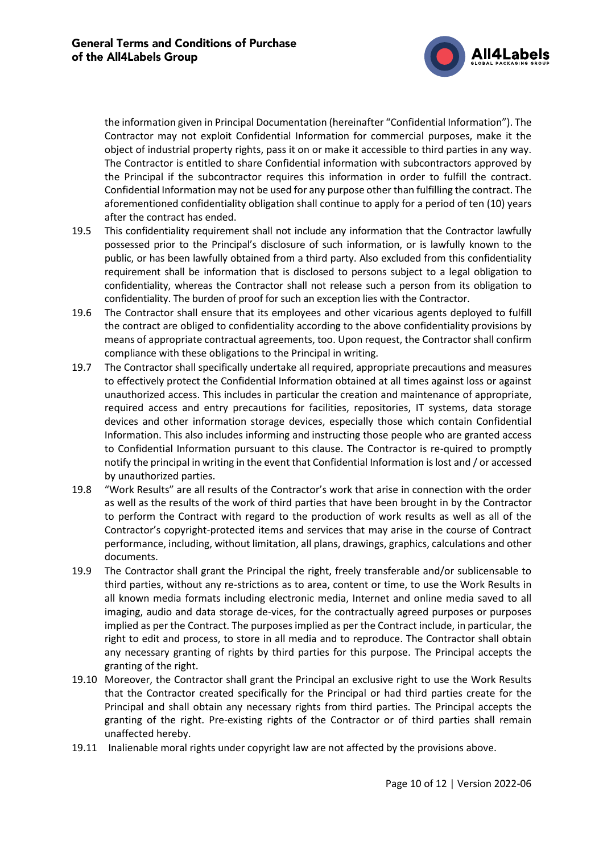

the information given in Principal Documentation (hereinafter "Confidential Information"). The Contractor may not exploit Confidential Information for commercial purposes, make it the object of industrial property rights, pass it on or make it accessible to third parties in any way. The Contractor is entitled to share Confidential information with subcontractors approved by the Principal if the subcontractor requires this information in order to fulfill the contract. Confidential Information may not be used for any purpose other than fulfilling the contract. The aforementioned confidentiality obligation shall continue to apply for a period of ten (10) years after the contract has ended.

- 19.5 This confidentiality requirement shall not include any information that the Contractor lawfully possessed prior to the Principal's disclosure of such information, or is lawfully known to the public, or has been lawfully obtained from a third party. Also excluded from this confidentiality requirement shall be information that is disclosed to persons subject to a legal obligation to confidentiality, whereas the Contractor shall not release such a person from its obligation to confidentiality. The burden of proof for such an exception lies with the Contractor.
- 19.6 The Contractor shall ensure that its employees and other vicarious agents deployed to fulfill the contract are obliged to confidentiality according to the above confidentiality provisions by means of appropriate contractual agreements, too. Upon request, the Contractor shall confirm compliance with these obligations to the Principal in writing.
- 19.7 The Contractor shall specifically undertake all required, appropriate precautions and measures to effectively protect the Confidential Information obtained at all times against loss or against unauthorized access. This includes in particular the creation and maintenance of appropriate, required access and entry precautions for facilities, repositories, IT systems, data storage devices and other information storage devices, especially those which contain Confidential Information. This also includes informing and instructing those people who are granted access to Confidential Information pursuant to this clause. The Contractor is re-quired to promptly notify the principal in writing in the event that Confidential Information is lost and / or accessed by unauthorized parties.
- 19.8 "Work Results" are all results of the Contractor's work that arise in connection with the order as well as the results of the work of third parties that have been brought in by the Contractor to perform the Contract with regard to the production of work results as well as all of the Contractor's copyright-protected items and services that may arise in the course of Contract performance, including, without limitation, all plans, drawings, graphics, calculations and other documents.
- 19.9 The Contractor shall grant the Principal the right, freely transferable and/or sublicensable to third parties, without any re-strictions as to area, content or time, to use the Work Results in all known media formats including electronic media, Internet and online media saved to all imaging, audio and data storage de-vices, for the contractually agreed purposes or purposes implied as per the Contract. The purposes implied as per the Contract include, in particular, the right to edit and process, to store in all media and to reproduce. The Contractor shall obtain any necessary granting of rights by third parties for this purpose. The Principal accepts the granting of the right.
- 19.10 Moreover, the Contractor shall grant the Principal an exclusive right to use the Work Results that the Contractor created specifically for the Principal or had third parties create for the Principal and shall obtain any necessary rights from third parties. The Principal accepts the granting of the right. Pre-existing rights of the Contractor or of third parties shall remain unaffected hereby.
- 19.11 Inalienable moral rights under copyright law are not affected by the provisions above.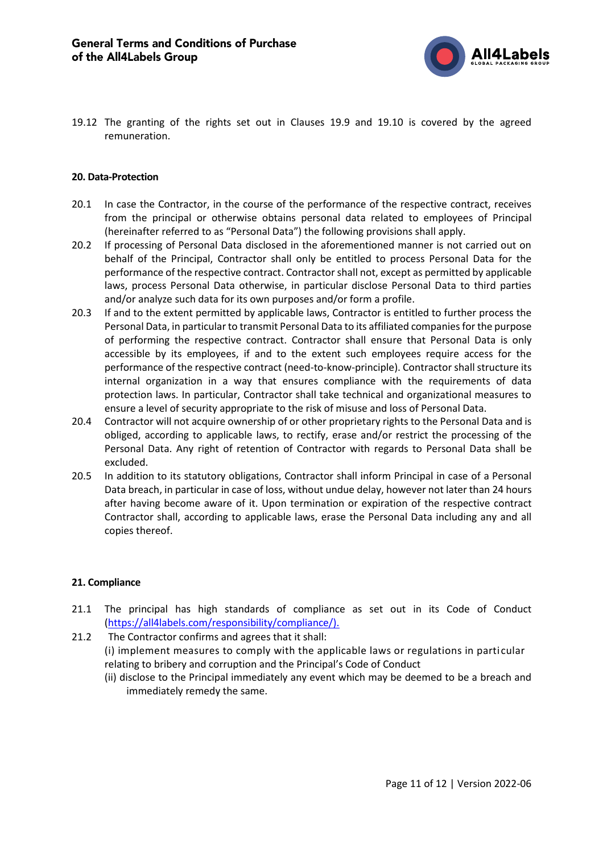

19.12 The granting of the rights set out in Clauses 19.9 and 19.10 is covered by the agreed remuneration.

### **20. Data-Protection**

- 20.1 In case the Contractor, in the course of the performance of the respective contract, receives from the principal or otherwise obtains personal data related to employees of Principal (hereinafter referred to as "Personal Data") the following provisions shall apply.
- 20.2 If processing of Personal Data disclosed in the aforementioned manner is not carried out on behalf of the Principal, Contractor shall only be entitled to process Personal Data for the performance of the respective contract. Contractor shall not, except as permitted by applicable laws, process Personal Data otherwise, in particular disclose Personal Data to third parties and/or analyze such data for its own purposes and/or form a profile.
- 20.3 If and to the extent permitted by applicable laws, Contractor is entitled to further process the Personal Data, in particular to transmit Personal Data to its affiliated companies for the purpose of performing the respective contract. Contractor shall ensure that Personal Data is only accessible by its employees, if and to the extent such employees require access for the performance of the respective contract (need-to-know-principle). Contractor shall structure its internal organization in a way that ensures compliance with the requirements of data protection laws. In particular, Contractor shall take technical and organizational measures to ensure a level of security appropriate to the risk of misuse and loss of Personal Data.
- 20.4 Contractor will not acquire ownership of or other proprietary rights to the Personal Data and is obliged, according to applicable laws, to rectify, erase and/or restrict the processing of the Personal Data. Any right of retention of Contractor with regards to Personal Data shall be excluded.
- 20.5 In addition to its statutory obligations, Contractor shall inform Principal in case of a Personal Data breach, in particular in case of loss, without undue delay, however not later than 24 hours after having become aware of it. Upon termination or expiration of the respective contract Contractor shall, according to applicable laws, erase the Personal Data including any and all copies thereof.

#### **21. Compliance**

21.1 The principal has high standards of compliance as set out in its Code of Conduct [\(https://all4labels.com/responsibility/compliance/\).](https://all4labels.com/responsibility/compliance/).)

21.2 The Contractor confirms and agrees that it shall: (i) implement measures to comply with the applicable laws or regulations in parti cular relating to bribery and corruption and the Principal's Code of Conduct

(ii) disclose to the Principal immediately any event which may be deemed to be a breach and immediately remedy the same.